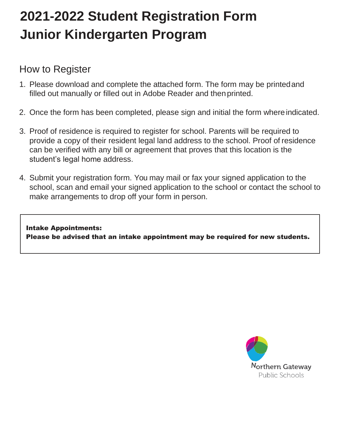# **2021-2022 Student Registration Form Junior Kindergarten Program**

## How to Register

- 1. Please download and complete the attached form. The form may be printedand filled out manually or filled out in Adobe Reader and thenprinted.
- 2. Once the form has been completed, please sign and initial the form where indicated.
- 3. Proof of residence is required to register for school. Parents will be required to provide a copy of their resident legal land address to the school. Proof of residence can be verified with any bill or agreement that proves that this location is the student's legal home address.
- 4. Submit your registration form. You may mail or fax your signed application to the school, scan and email your signed application to the school or contact the school to make arrangements to drop off your form in person.

Intake Appointments: Please be advised that an intake appointment may be required for new students.

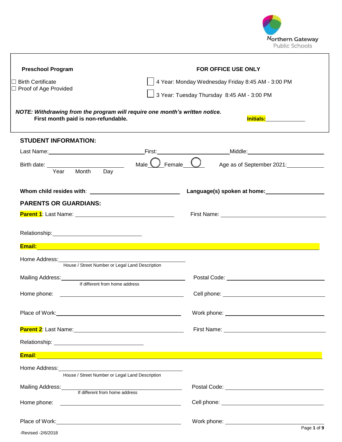

| <b>Preschool Program</b>                                                                                                                                                                                                                   | <b>FOR OFFICE USE ONLY</b>                                                                                                                                                                                                     |
|--------------------------------------------------------------------------------------------------------------------------------------------------------------------------------------------------------------------------------------------|--------------------------------------------------------------------------------------------------------------------------------------------------------------------------------------------------------------------------------|
| $\Box$ Birth Certificate                                                                                                                                                                                                                   | 4 Year: Monday Wednesday Friday 8:45 AM - 3:00 PM                                                                                                                                                                              |
| $\Box$ Proof of Age Provided                                                                                                                                                                                                               | 3 Year: Tuesday Thursday 8:45 AM - 3:00 PM                                                                                                                                                                                     |
| NOTE: Withdrawing from the program will require one month's written notice.<br>First month paid is non-refundable.                                                                                                                         | <b>Initials: Alternative Structure</b>                                                                                                                                                                                         |
| <b>STUDENT INFORMATION:</b>                                                                                                                                                                                                                |                                                                                                                                                                                                                                |
|                                                                                                                                                                                                                                            |                                                                                                                                                                                                                                |
| Birth date: <u>Year Month Day</u> Male <b>C</b> Female <b>C</b> Age as of September 2021:                                                                                                                                                  |                                                                                                                                                                                                                                |
|                                                                                                                                                                                                                                            |                                                                                                                                                                                                                                |
| <b>PARENTS OR GUARDIANS:</b>                                                                                                                                                                                                               |                                                                                                                                                                                                                                |
|                                                                                                                                                                                                                                            | First Name: Name and Secretary Annual Accounts and Accounts and Accounts and Accounts and Accounts and Accounts and Accounts and Accounts and Accounts and Accounts and Accounts and Accounts and Accounts and Accounts and Ac |
|                                                                                                                                                                                                                                            |                                                                                                                                                                                                                                |
|                                                                                                                                                                                                                                            |                                                                                                                                                                                                                                |
| Home Address:<br>House / Street Number or Legal Land Description                                                                                                                                                                           |                                                                                                                                                                                                                                |
| Mailing Address:<br>If different from home address                                                                                                                                                                                         |                                                                                                                                                                                                                                |
|                                                                                                                                                                                                                                            |                                                                                                                                                                                                                                |
|                                                                                                                                                                                                                                            |                                                                                                                                                                                                                                |
| Place of Work: <u>contract and a set of Work:</u> The Contract of Work:                                                                                                                                                                    |                                                                                                                                                                                                                                |
| Parent 2: Last Name: Manual Communication of the Communication of the Parent Communication of the Communication                                                                                                                            | First Name: Name: Name and Security and Security and Security and Security and Security and Security and Security and Security and Security and Security and Security and Security and Security and Security and Security and  |
|                                                                                                                                                                                                                                            |                                                                                                                                                                                                                                |
| <mark>Email: And the contract of the contract of the contract of the contract of the contract of the contract of the contract of the contract of the contract of the contract of the contract of the contract of the contract of th</mark> | ,我们也不会有什么。""我们的人,我们也不会有什么?""我们的人,我们也不会有什么?""我们的人,我们也不会有什么?""我们的人,我们也不会有什么?""我们的人                                                                                                                                               |
| House / Street Number or Legal Land Description                                                                                                                                                                                            |                                                                                                                                                                                                                                |
|                                                                                                                                                                                                                                            |                                                                                                                                                                                                                                |
| Mailing Address:<br>If different from home address                                                                                                                                                                                         |                                                                                                                                                                                                                                |
|                                                                                                                                                                                                                                            |                                                                                                                                                                                                                                |
|                                                                                                                                                                                                                                            |                                                                                                                                                                                                                                |
| -Revised -2/6/2018                                                                                                                                                                                                                         | Page 1 of 9                                                                                                                                                                                                                    |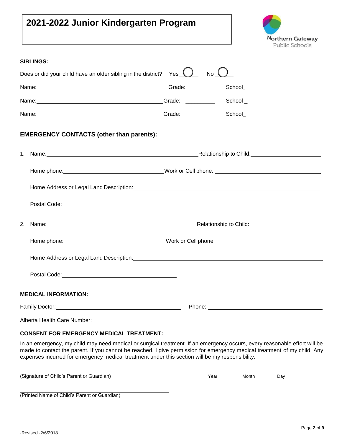### **2021-2022 Junior Kindergarten Program**



|    | <b>SIBLINGS:</b>                                                                                                                                                                                                               |        |         |
|----|--------------------------------------------------------------------------------------------------------------------------------------------------------------------------------------------------------------------------------|--------|---------|
|    | Does or did your child have an older sibling in the district? Yes $\bigcup$                                                                                                                                                    | No     |         |
|    |                                                                                                                                                                                                                                | Grade: | School  |
|    | Name: Campbell Communication of the Communication of Crack Communication of Crack Communication of Crack Communication of Crack Communication of Crack Communication of Crack Communication of Crack Communication of Crack Co |        | School_ |
|    | Name: Crade:                                                                                                                                                                                                                   |        | School  |
|    | <b>EMERGENCY CONTACTS (other than parents):</b>                                                                                                                                                                                |        |         |
|    |                                                                                                                                                                                                                                |        |         |
|    |                                                                                                                                                                                                                                |        |         |
|    | Home Address or Legal Land Description: Manual Address or Legal Land Description:                                                                                                                                              |        |         |
|    |                                                                                                                                                                                                                                |        |         |
| 2. | Name: Name: Name: Name: Name: Name: Name: Name: Name: Name: Name: Name: Name: Name: Name: Name: Name: Name: Name: Name: Name: Name: Name: Name: Name: Name: Name: Name: Name: Name: Name: Name: Name: Name: Name: Name: Name:  |        |         |
|    |                                                                                                                                                                                                                                |        |         |
|    | Home Address or Legal Land Description: Manual Community of Address or Legal Land Description:                                                                                                                                 |        |         |
|    |                                                                                                                                                                                                                                |        |         |
|    | <b>MEDICAL INFORMATION:</b>                                                                                                                                                                                                    |        |         |
|    |                                                                                                                                                                                                                                |        |         |
|    |                                                                                                                                                                                                                                |        |         |
|    | $0.00117$ can cuchacusy uchia !! The $17$<br>a samar                                                                                                                                                                           |        |         |

#### **CONSENT FOR EMERGENCY MEDICAL TREATMENT:**

In an emergency, my child may need medical or surgical treatment. If an emergency occurs, every reasonable effort will be made to contact the parent. If you cannot be reached, I give permission for emergency medical treatment of my child. Any expenses incurred for emergency medical treatment under this section will be my responsibility.

(Signature of Child's Parent or Guardian) The Month Theory of Child's Parent or Guardian) The Month Day

(Printed Name of Child's Parent or Guardian)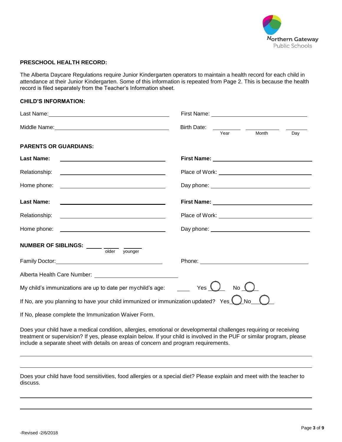

#### **PRESCHOOL HEALTH RECORD:**

The Alberta Daycare Regulations require Junior Kindergarten operators to maintain a health record for each child in attendance at their Junior Kindergarten. Some of this information is repeated from Page 2. This is because the health record is filed separately from the Teacher's Information sheet.

#### **CHILD'S INFORMATION:**

|                                                                                                                                                                                                                                                                                                                                                                               | <b>Birth Date:</b><br>Year | Month      | Day |
|-------------------------------------------------------------------------------------------------------------------------------------------------------------------------------------------------------------------------------------------------------------------------------------------------------------------------------------------------------------------------------|----------------------------|------------|-----|
| <b>PARENTS OR GUARDIANS:</b>                                                                                                                                                                                                                                                                                                                                                  |                            |            |     |
| <b>Last Name:</b>                                                                                                                                                                                                                                                                                                                                                             |                            |            |     |
| Relationship:<br><u> 1989 - Johann Barn, fransk politik fotograf (d. 1989)</u>                                                                                                                                                                                                                                                                                                |                            |            |     |
|                                                                                                                                                                                                                                                                                                                                                                               |                            |            |     |
| <b>Last Name:</b><br><u> 1980 - Johann Barbara, martin amerikan basar da</u>                                                                                                                                                                                                                                                                                                  |                            |            |     |
| Relationship:                                                                                                                                                                                                                                                                                                                                                                 |                            |            |     |
|                                                                                                                                                                                                                                                                                                                                                                               |                            |            |     |
| NUMBER OF SIBLINGS: _____ ____ ___<br>older younger                                                                                                                                                                                                                                                                                                                           |                            |            |     |
|                                                                                                                                                                                                                                                                                                                                                                               |                            |            |     |
|                                                                                                                                                                                                                                                                                                                                                                               |                            |            |     |
| My child's immunizations are up to date per mychild's age: $\frac{1}{\sqrt{1-\frac{1}{\sqrt{1-\frac{1}{\sqrt{1-\frac{1}{\sqrt{1-\frac{1}{\sqrt{1-\frac{1}{\sqrt{1-\frac{1}{\sqrt{1-\frac{1}{\sqrt{1-\frac{1}{\sqrt{1-\frac{1}{\sqrt{1-\frac{1}{\sqrt{1-\frac{1}{\sqrt{1-\frac{1}{\sqrt{1-\frac{1}{\sqrt{1-\frac{1}{\sqrt{1-\frac{1}{\sqrt{1-\frac{1}{\sqrt{1-\frac{1}{\sqrt{$ |                            | No $\sqrt$ |     |
| If No, are you planning to have your child immunized or immunization updated? Yes $\bigcup$                                                                                                                                                                                                                                                                                   |                            | ) No       |     |
| If No, please complete the Immunization Waiver Form.                                                                                                                                                                                                                                                                                                                          |                            |            |     |

Does your child have a medical condition, allergies, emotional or developmental challenges requiring or receiving treatment or supervision? If yes, please explain below. If your child is involved in the PUF or similar program, please include a separate sheet with details on areas of concern and program requirements.

Does your child have food sensitivities, food allergies or a special diet? Please explain and meet with the teacher to discuss.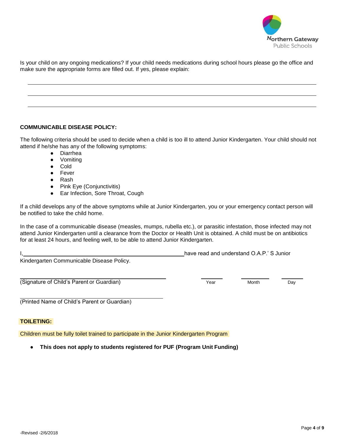

Is your child on any ongoing medications? If your child needs medications during school hours please go the office and make sure the appropriate forms are filled out. If yes, please explain:

#### **COMMUNICABLE DISEASE POLICY:**

The following criteria should be used to decide when a child is too ill to attend Junior Kindergarten. Your child should not attend if he/she has any of the following symptoms:

- Diarrhea
- Vomiting
- **Cold**
- Fever
- Rash
- Pink Eye (Conjunctivitis)
- Ear Infection, Sore Throat, Cough

If a child develops any of the above symptoms while at Junior Kindergarten, you or your emergency contact person will be notified to take the child home.

In the case of a communicable disease (measles, mumps, rubella etc.), or parasitic infestation, those infected may not attend Junior Kindergarten until a clearance from the Doctor or Health Unit is obtained. A child must be on antibiotics for at least 24 hours, and feeling well, to be able to attend Junior Kindergarten.

Kindergarten Communicable Disease Policy.

(Signature of Child's Parent or Guardian) The Contract of Child's Parent or Guardian)

(Printed Name of Child's Parent or Guardian)

#### **TOILETING:**

Children must be fully toilet trained to participate in the Junior Kindergarten Program

**● This does not apply to students registered for PUF (Program Unit Funding)**

I, have read and understand O.A.P.' S Junior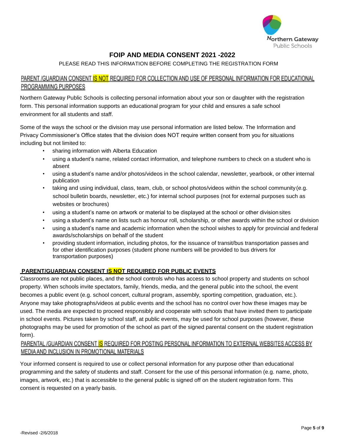

#### **FOIP AND MEDIA CONSENT 2021 -2022**

#### PLEASE READ THIS INFORMATION BEFORE COMPLETING THE REGISTRATION FORM

#### PARENT /GUARDIAN CONSENT I<mark>S NOT</mark> REQUIRED FOR COLLECTION AND USE OF PERSONAL INFORMATION FOR EDUCATIONAL PROGRAMMING PURPOSES

Northern Gateway Public Schools is collecting personal information about your son or daughter with the registration form. This personal information supports an educational program for your child and ensures a safe school environment for all students and staff.

Some of the ways the school or the division may use personal information are listed below. The Information and Privacy Commissioner's Office states that the division does NOT require written consent from you for situations including but not limited to:

- sharing information with Alberta Education
- using a student's name, related contact information, and telephone numbers to check on a student who is absent
- using a student's name and/or photos/videos in the school calendar, newsletter, yearbook, or other internal publication
- taking and using individual, class, team, club, or school photos/videos within the school community (e.g. school bulletin boards, newsletter, etc.) for internal school purposes (not for external purposes such as websites or brochures)
- using a student's name on artwork or material to be displayed at the school or other divisionsites
- using a student's name on lists such as honour roll, scholarship, or other awards within the school or division
- using a student's name and academic information when the school wishes to apply for provincial and federal awards/scholarships on behalf of the student
- providing student information, including photos, for the issuance of transit/bus transportation passes and for other identification purposes (student phone numbers will be provided to bus drivers for transportation purposes)

#### **PARENT/GUARDIAN CONSENT IS NOT REQUIRED FOR PUBLIC EVENTS**

Classrooms are not public places, and the school controls who has access to school property and students on school property. When schools invite spectators, family, friends, media, and the general public into the school, the event becomes a public event (e.g. school concert, cultural program, assembly, sporting competition, graduation, etc.). Anyone may take photographs/videos at public events and the school has no control over how these images may be used. The media are expected to proceed responsibly and cooperate with schools that have invited them to participate in school events. Pictures taken by school staff, at public events, may be used for school purposes (however, these photographs may be used for promotion of the school as part of the signed parental consent on the student registration form).

#### PARENTAL /GUARDIAN CONSENT IS REQUIRED FOR POSTING PERSONAL INFORMATION TO EXTERNAL WEBSITES ACCESS BY MEDIA AND INCLUSION IN PROMOTIONAL MATERIALS

Your informed consent is required to use or collect personal information for any purpose other than educational programming and the safety of students and staff. Consent for the use of this personal information (e.g. name, photo, images, artwork, etc.) that is accessible to the general public is signed off on the student registration form. This consent is requested on a yearly basis.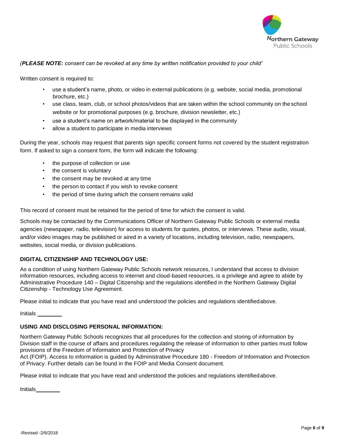

#### *(PLEASE NOTE: consent can be revoked at any time by written notification provided to your child'*

Written consent is required to:

- use a student's name, photo, or video in external publications (e.g. website, social media, promotional brochure, etc.)
- use class, team, club, or school photos/videos that are taken within the school community on theschool website or for promotional purposes (e.g. brochure, division newsletter, etc.)
- use a student's name on artwork/material to be displayed in the community
- allow a student to participate in media interviews

During the year, schools may request that parents sign specific consent forms not covered by the student registration form. If asked to sign a consent form, the form will indicate the following:

- the purpose of collection or use
- the consent is voluntary
- the consent may be revoked at any time
- the person to contact if you wish to revoke consent
- the period of time during which the consent remains valid

This record of consent must be retained for the period of time for which the consent is valid.

Schools may be contacted by the Communications Officer of Northern Gateway Public Schools or external media agencies (newspaper, radio, television) for access to students for quotes, photos, or interviews. These audio, visual, and/or video images may be published or aired in a variety of locations, including television, radio, newspapers, websites, social media, or division publications.

#### **DIGITAL CITIZENSHIP AND TECHNOLOGY USE:**

As a condition of using Northern Gateway Public Schools network resources, I understand that access to division information resources, including access to internet and cloud-based resources, is a privilege and agree to abide by Administrative Procedure 140 – Digital Citizenship and the regulations identified in the Northern Gateway Digital Citizenship - Technology Use Agreement.

Please initial to indicate that you have read and understood the policies and regulations identifiedabove.

Initials

#### **USING AND DISCLOSING PERSONAL INFORMATION:**

Northern Gateway Public Schools recognizes that all procedures for the collection and storing of information by Division staff in the course of affairs and procedures regulating the release of information to other parties must follow provisions of the Freedom of Information and Protection of Privacy

Act (FOIP). Access to information is guided by Administrative Procedure 180 - Freedom of Information and Protection of Privacy. Further details can be found in the FOIP and Media Consent document.

Please initial to indicate that you have read and understood the policies and regulations identifiedabove.

Initials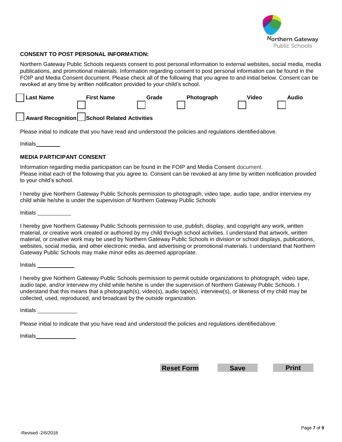

#### **CONSENT TO POST PERSONAL INFORMATION:**

Northern Gateway Public Schools requests consent to post personal information to external websites, social media, media publications, and promotional materials. Information regarding consent to post personal information can be found in the FOIP and Media Consent document. Please check all of the following that you agree to and initial below. Consent can be revoked at any time by written notification provided to your child's school.



Please initial to indicate that you have read and understood the policies and regulations identifiedabove.

Initials

#### **MEDIA PARTICIPANT CONSENT**

Information regarding media participation can be found in the FOIP and Media Consent document. Please initial each of the following that you agree to. Consent can be revoked at any time by written notification provided to your child's school.

I hereby give Northern Gateway Public Schools permission to photograph, video tape, audio tape, and/or interview my child while he/she is under the supervision of Northern Gateway Public Schools

Initials

I hereby give Northern Gateway Public Schools permission to use, publish, display, and copyright any work, written material, or creative work created or authored by my child through school activities. I understand that artwork, written material, or creative work may be used by Northern Gateway Public Schools in division or school displays, publications, websites, social media, and other electronic media, and advertising or promotional materials. I understand that Northern Gateway Public Schools may make minor edits as deemed appropriate.

Initials

I hereby give Northern Gateway Public Schools permission to permit outside organizations to photograph, video tape, audio tape, and/or interview my child while he/she is under the supervision of Northern Gateway Public Schools. I understand that this means that a photograph(s), video(s), audio tape(s), interview(s), or likeness of my child may be collected, used, reproduced, and broadcast by the outside organization.

Initials

Please initial to indicate that you have read and understood the policies and regulations identifiedabove.

Initials

**Reset Form Save Print**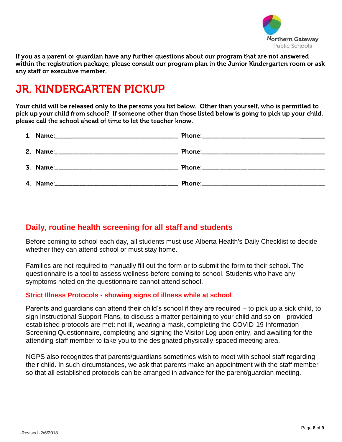

If you as a parent or guardian have any further questions about our program that are not answered within the registration package, please consult our program plan in the Junior Kindergarten room or ask any staff or executive member.

## **JR. KINDERGARTEN PICKUP**

Your child will be released only to the persons you list below. Other than yourself, who is permitted to pick up your child from school? If someone other than those listed below is going to pick up your child, please call the school ahead of time to let the teacher know.

### **Daily, routine health screening for all staff and students**

Before coming to school each day, all students must use Alberta Health's Daily Checklist to decide whether they can attend school or must stay home.

Families are not required to manually fill out the form or to submit the form to their school. The questionnaire is a tool to assess wellness before coming to school. Students who have any symptoms noted on the questionnaire cannot attend school.

#### **Strict Illness Protocols - showing signs of illness while at school**

Parents and guardians can attend their child's school if they are required – to pick up a sick child, to sign Instructional Support Plans, to discuss a matter pertaining to your child and so on - provided established protocols are met: not ill, wearing a mask, completing the COVID-19 Information Screening Questionnaire, completing and signing the Visitor Log upon entry, and awaiting for the attending staff member to take you to the designated physically-spaced meeting area.

NGPS also recognizes that parents/guardians sometimes wish to meet with school staff regarding their child. In such circumstances, we ask that parents make an appointment with the staff member so that all established protocols can be arranged in advance for the parent/guardian meeting.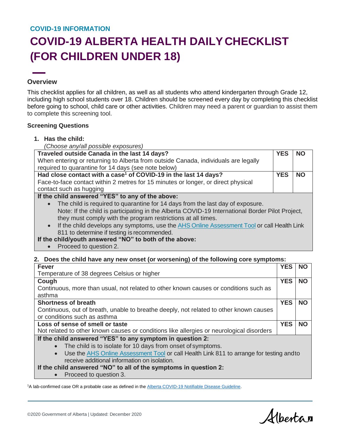#### **COVID-19 INFORMATION**

## **COVID-19 ALBERTA HEALTH DAILYCHECKLIST (FOR CHILDREN UNDER 18)**

#### **Overview**

This checklist applies for all children, as well as all students who attend kindergarten through Grade 12, including high school students over 18. Children should be screened every day by completing this checklist before going to school, child care or other activities. Children may need a parent or guardian to assist them to complete this screening tool.

#### **Screening Questions**

**1. Has the child:**

| (Choose any/all possible exposures)                                                                     |            |           |
|---------------------------------------------------------------------------------------------------------|------------|-----------|
| Traveled outside Canada in the last 14 days?                                                            | <b>YES</b> | <b>NO</b> |
| When entering or returning to Alberta from outside Canada, individuals are legally                      |            |           |
| required to quarantine for 14 days (see note below)                                                     |            |           |
| Had close contact with a case <sup>1</sup> of COVID-19 in the last 14 days?                             | <b>YES</b> | <b>NO</b> |
| Face-to-face contact within 2 metres for 15 minutes or longer, or direct physical                       |            |           |
| contact such as hugging                                                                                 |            |           |
| If the child answered "YES" to any of the above:                                                        |            |           |
| The child is required to quarantine for 14 days from the last day of exposure.<br>$\bullet$             |            |           |
| Note: If the child is participating in the Alberta COVID-19 International Border Pilot Project,         |            |           |
| they must comply with the program restrictions at all times.                                            |            |           |
| If the child develops any symptoms, use the AHS Online Assessment Tool or call Health Link<br>$\bullet$ |            |           |
| 811 to determine if testing is recommended.                                                             |            |           |
| If the child/youth answered "NO" to both of the above:                                                  |            |           |

• Proceed to question 2.

#### **2. Does the child have any new onset (or worsening) of the following core symptoms:**

| <b>Fever</b>                                                                                          | <b>YES</b>                                                | <b>NO</b> |  |
|-------------------------------------------------------------------------------------------------------|-----------------------------------------------------------|-----------|--|
| Temperature of 38 degrees Celsius or higher                                                           |                                                           |           |  |
| Cough                                                                                                 | <b>YES</b>                                                | <b>NO</b> |  |
| Continuous, more than usual, not related to other known causes or conditions such as                  |                                                           |           |  |
| asthma                                                                                                |                                                           |           |  |
| <b>Shortness of breath</b>                                                                            | <b>YES</b>                                                | <b>NO</b> |  |
| Continuous, out of breath, unable to breathe deeply, not related to other known causes                |                                                           |           |  |
| or conditions such as asthma                                                                          |                                                           |           |  |
| Loss of sense of smell or taste                                                                       | <b>YES</b>                                                | <b>NO</b> |  |
| Not related to other known causes or conditions like allergies or neurological disorders              |                                                           |           |  |
|                                                                                                       | If the child answered "YES" to any symptom in question 2: |           |  |
|                                                                                                       |                                                           |           |  |
| The child is to isolate for 10 days from onset of symptoms.                                           |                                                           |           |  |
| Use the AHS Online Assessment Tool or call Health Link 811 to arrange for testing and to<br>$\bullet$ |                                                           |           |  |
| receive additional information on isolation.                                                          |                                                           |           |  |
| If the child answered "NO" to all of the symptoms in question 2:                                      |                                                           |           |  |

<sup>1</sup>A lab-confirmed case OR a probable case as defined in the **Alberta COVID-19 Notifiable Disease Guideline**.

Albertan